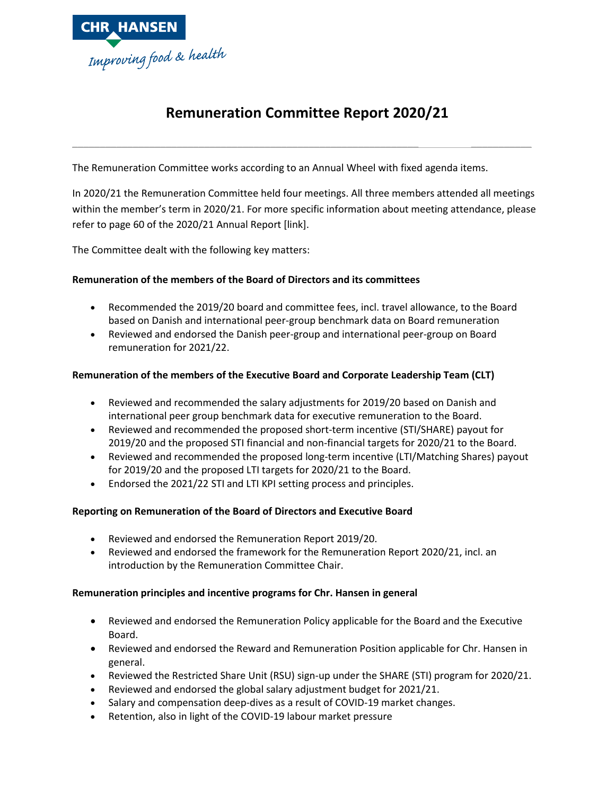

# **Remuneration Committee Report 2020/21**

**\_\_\_\_\_\_\_\_\_\_\_\_\_\_\_\_\_\_\_\_\_\_\_\_\_\_\_\_\_\_\_\_\_\_\_\_\_\_\_\_\_\_\_\_\_\_\_\_\_\_\_\_\_\_\_\_\_\_\_\_\_\_\_ \_\_\_\_\_\_\_\_\_\_\_**

The Remuneration Committee works according to an Annual Wheel with fixed agenda items.

In 2020/21 the Remuneration Committee held four meetings. All three members attended all meetings within the member's term in 2020/21. For more specific information about meeting attendance, please refer to page 60 of the 2020/21 Annual Report [link].

The Committee dealt with the following key matters:

## **Remuneration of the members of the Board of Directors and its committees**

- Recommended the 2019/20 board and committee fees, incl. travel allowance, to the Board based on Danish and international peer-group benchmark data on Board remuneration
- Reviewed and endorsed the Danish peer-group and international peer-group on Board remuneration for 2021/22.

## **Remuneration of the members of the Executive Board and Corporate Leadership Team (CLT)**

- Reviewed and recommended the salary adjustments for 2019/20 based on Danish and international peer group benchmark data for executive remuneration to the Board.
- Reviewed and recommended the proposed short-term incentive (STI/SHARE) payout for 2019/20 and the proposed STI financial and non-financial targets for 2020/21 to the Board.
- Reviewed and recommended the proposed long-term incentive (LTI/Matching Shares) payout for 2019/20 and the proposed LTI targets for 2020/21 to the Board.
- Endorsed the 2021/22 STI and LTI KPI setting process and principles.

## **Reporting on Remuneration of the Board of Directors and Executive Board**

- Reviewed and endorsed the Remuneration Report 2019/20.
- Reviewed and endorsed the framework for the Remuneration Report 2020/21, incl. an introduction by the Remuneration Committee Chair.

### **Remuneration principles and incentive programs for Chr. Hansen in general**

- Reviewed and endorsed the Remuneration Policy applicable for the Board and the Executive Board.
- Reviewed and endorsed the Reward and Remuneration Position applicable for Chr. Hansen in general.
- Reviewed the Restricted Share Unit (RSU) sign-up under the SHARE (STI) program for 2020/21.
- Reviewed and endorsed the global salary adjustment budget for 2021/21.
- Salary and compensation deep-dives as a result of COVID-19 market changes.
- Retention, also in light of the COVID-19 labour market pressure